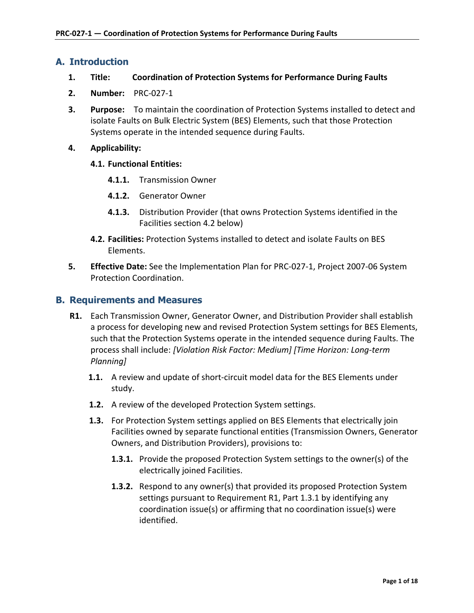## **A. Introduction**

- **1. Title: Coordination of Protection Systems for Performance During Faults**
- **2. Number:** PRC-027-1
- **3. Purpose:** To maintain the coordination of Protection Systems installed to detect and isolate Faults on Bulk Electric System (BES) Elements, such that those Protection Systems operate in the intended sequence during Faults.
- **4. Applicability:**

#### **4.1. Functional Entities:**

- **4.1.1.** Transmission Owner
- **4.1.2.** Generator Owner
- **4.1.3.** Distribution Provider (that owns Protection Systems identified in the Facilities section 4.2 below)
- **4.2. Facilities:** Protection Systems installed to detect and isolate Faults on BES Elements.
- **5. Effective Date:** See the Implementation Plan for PRC-027-1, Project 2007-06 System Protection Coordination.

## **B. Requirements and Measures**

- **R1.** Each Transmission Owner, Generator Owner, and Distribution Provider shall establish a process for developing new and revised Protection System settings for BES Elements, such that the Protection Systems operate in the intended sequence during Faults. The process shall include: *[Violation Risk Factor: Medium] [Time Horizon: Long-term Planning]*
	- **1.1.** A review and update of short-circuit model data for the BES Elements under study.
	- **1.2.** A review of the developed Protection System settings.
	- **1.3.** For Protection System settings applied on BES Elements that electrically join Facilities owned by separate functional entities (Transmission Owners, Generator Owners, and Distribution Providers), provisions to:
		- **1.3.1.** Provide the proposed Protection System settings to the owner(s) of the electrically joined Facilities.
		- **1.3.2.** Respond to any owner(s) that provided its proposed Protection System settings pursuant to Requirement R1, Part 1.3.1 by identifying any coordination issue(s) or affirming that no coordination issue(s) were identified.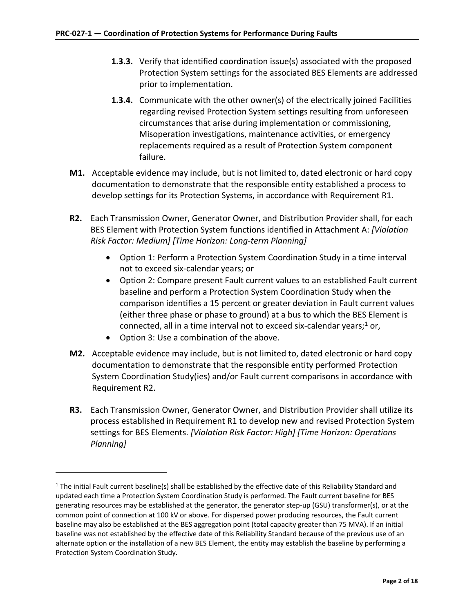- **1.3.3.** Verify that identified coordination issue(s) associated with the proposed Protection System settings for the associated BES Elements are addressed prior to implementation.
- **1.3.4.** Communicate with the other owner(s) of the electrically joined Facilities regarding revised Protection System settings resulting from unforeseen circumstances that arise during implementation or commissioning, Misoperation investigations, maintenance activities, or emergency replacements required as a result of Protection System component failure.
- **M1.** Acceptable evidence may include, but is not limited to, dated electronic or hard copy documentation to demonstrate that the responsible entity established a process to develop settings for its Protection Systems, in accordance with Requirement R1.
- **R2.** Each Transmission Owner, Generator Owner, and Distribution Provider shall, for each BES Element with Protection System functions identified in Attachment A: *[Violation Risk Factor: Medium] [Time Horizon: Long-term Planning]*
	- Option 1: Perform a Protection System Coordination Study in a time interval not to exceed six-calendar years; or
	- Option 2: Compare present Fault current values to an established Fault current baseline and perform a Protection System Coordination Study when the comparison identifies a 15 percent or greater deviation in Fault current values (either three phase or phase to ground) at a bus to which the BES Element is connected, all in a time interval not to exceed six-calendar years;<sup>[1](#page-1-0)</sup> or,
	- Option 3: Use a combination of the above.

 $\overline{a}$ 

- **M2.** Acceptable evidence may include, but is not limited to, dated electronic or hard copy documentation to demonstrate that the responsible entity performed Protection System Coordination Study(ies) and/or Fault current comparisons in accordance with Requirement R2.
- **R3.** Each Transmission Owner, Generator Owner, and Distribution Provider shall utilize its process established in Requirement R1 to develop new and revised Protection System settings for BES Elements. *[Violation Risk Factor: High] [Time Horizon: Operations Planning]*

<span id="page-1-0"></span> $1$  The initial Fault current baseline(s) shall be established by the effective date of this Reliability Standard and updated each time a Protection System Coordination Study is performed. The Fault current baseline for BES generating resources may be established at the generator, the generator step-up (GSU) transformer(s), or at the common point of connection at 100 kV or above. For dispersed power producing resources, the Fault current baseline may also be established at the BES aggregation point (total capacity greater than 75 MVA). If an initial baseline was not established by the effective date of this Reliability Standard because of the previous use of an alternate option or the installation of a new BES Element, the entity may establish the baseline by performing a Protection System Coordination Study.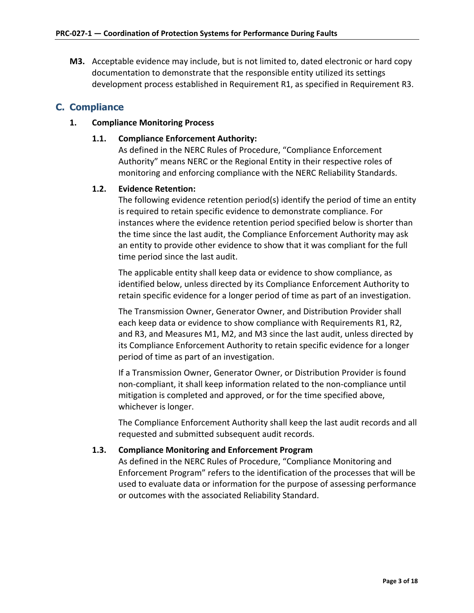**M3.** Acceptable evidence may include, but is not limited to, dated electronic or hard copy documentation to demonstrate that the responsible entity utilized its settings development process established in Requirement R1, as specified in Requirement R3.

# **C. Compliance**

## **1. Compliance Monitoring Process**

## **1.1. Compliance Enforcement Authority:**

As defined in the NERC Rules of Procedure, "Compliance Enforcement Authority" means NERC or the Regional Entity in their respective roles of monitoring and enforcing compliance with the NERC Reliability Standards.

## **1.2. Evidence Retention:**

The following evidence retention period(s) identify the period of time an entity is required to retain specific evidence to demonstrate compliance. For instances where the evidence retention period specified below is shorter than the time since the last audit, the Compliance Enforcement Authority may ask an entity to provide other evidence to show that it was compliant for the full time period since the last audit.

The applicable entity shall keep data or evidence to show compliance, as identified below, unless directed by its Compliance Enforcement Authority to retain specific evidence for a longer period of time as part of an investigation.

The Transmission Owner, Generator Owner, and Distribution Provider shall each keep data or evidence to show compliance with Requirements R1, R2, and R3, and Measures M1, M2, and M3 since the last audit, unless directed by its Compliance Enforcement Authority to retain specific evidence for a longer period of time as part of an investigation.

If a Transmission Owner, Generator Owner, or Distribution Provider is found non-compliant, it shall keep information related to the non-compliance until mitigation is completed and approved, or for the time specified above, whichever is longer.

The Compliance Enforcement Authority shall keep the last audit records and all requested and submitted subsequent audit records.

## **1.3. Compliance Monitoring and Enforcement Program**

As defined in the NERC Rules of Procedure, "Compliance Monitoring and Enforcement Program" refers to the identification of the processes that will be used to evaluate data or information for the purpose of assessing performance or outcomes with the associated Reliability Standard.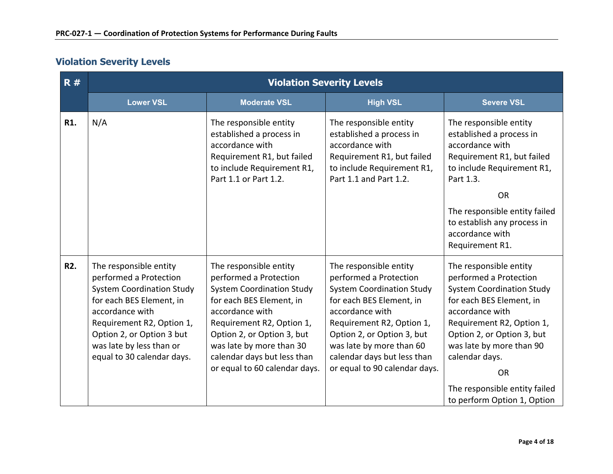# **Violation Severity Levels**

| R#         | <b>Violation Severity Levels</b>                                                                                                                                                                                                                        |                                                                                                                                                                                                                                                                                            |                                                                                                                                                                                                                                                                                            |                                                                                                                                                                                                                                                                                                                           |  |
|------------|---------------------------------------------------------------------------------------------------------------------------------------------------------------------------------------------------------------------------------------------------------|--------------------------------------------------------------------------------------------------------------------------------------------------------------------------------------------------------------------------------------------------------------------------------------------|--------------------------------------------------------------------------------------------------------------------------------------------------------------------------------------------------------------------------------------------------------------------------------------------|---------------------------------------------------------------------------------------------------------------------------------------------------------------------------------------------------------------------------------------------------------------------------------------------------------------------------|--|
|            | <b>Lower VSL</b>                                                                                                                                                                                                                                        | <b>Moderate VSL</b>                                                                                                                                                                                                                                                                        | <b>High VSL</b>                                                                                                                                                                                                                                                                            | <b>Severe VSL</b>                                                                                                                                                                                                                                                                                                         |  |
| R1.        | N/A                                                                                                                                                                                                                                                     | The responsible entity<br>established a process in<br>accordance with<br>Requirement R1, but failed<br>to include Requirement R1,<br>Part 1.1 or Part 1.2.                                                                                                                                 | The responsible entity<br>established a process in<br>accordance with<br>Requirement R1, but failed<br>to include Requirement R1,<br>Part 1.1 and Part 1.2.                                                                                                                                | The responsible entity<br>established a process in<br>accordance with<br>Requirement R1, but failed<br>to include Requirement R1,<br>Part 1.3.                                                                                                                                                                            |  |
|            |                                                                                                                                                                                                                                                         |                                                                                                                                                                                                                                                                                            |                                                                                                                                                                                                                                                                                            | <b>OR</b>                                                                                                                                                                                                                                                                                                                 |  |
|            |                                                                                                                                                                                                                                                         |                                                                                                                                                                                                                                                                                            |                                                                                                                                                                                                                                                                                            | The responsible entity failed<br>to establish any process in<br>accordance with<br>Requirement R1.                                                                                                                                                                                                                        |  |
| <b>R2.</b> | The responsible entity<br>performed a Protection<br><b>System Coordination Study</b><br>for each BES Element, in<br>accordance with<br>Requirement R2, Option 1,<br>Option 2, or Option 3 but<br>was late by less than or<br>equal to 30 calendar days. | The responsible entity<br>performed a Protection<br><b>System Coordination Study</b><br>for each BES Element, in<br>accordance with<br>Requirement R2, Option 1,<br>Option 2, or Option 3, but<br>was late by more than 30<br>calendar days but less than<br>or equal to 60 calendar days. | The responsible entity<br>performed a Protection<br><b>System Coordination Study</b><br>for each BES Element, in<br>accordance with<br>Requirement R2, Option 1,<br>Option 2, or Option 3, but<br>was late by more than 60<br>calendar days but less than<br>or equal to 90 calendar days. | The responsible entity<br>performed a Protection<br><b>System Coordination Study</b><br>for each BES Element, in<br>accordance with<br>Requirement R2, Option 1,<br>Option 2, or Option 3, but<br>was late by more than 90<br>calendar days.<br><b>OR</b><br>The responsible entity failed<br>to perform Option 1, Option |  |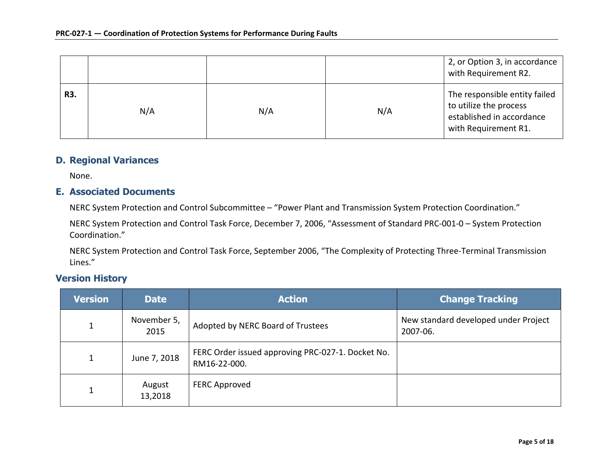|     |     |     |     | 2, or Option 3, in accordance<br>with Requirement R2.                                                        |
|-----|-----|-----|-----|--------------------------------------------------------------------------------------------------------------|
| R3. | N/A | N/A | N/A | The responsible entity failed<br>to utilize the process<br>established in accordance<br>with Requirement R1. |

## **D. Regional Variances**

None.

## **E. Associated Documents**

NERC System Protection and Control Subcommittee – "Power Plant and Transmission System Protection Coordination."

NERC System Protection and Control Task Force, December 7, 2006, "Assessment of Standard PRC-001-0 – System Protection Coordination."

NERC System Protection and Control Task Force, September 2006, "The Complexity of Protecting Three-Terminal Transmission Lines."

## **Version History**

| <b>Version</b> | <b>Date</b>         | <b>Action</b>                                                     | <b>Change Tracking</b>                           |
|----------------|---------------------|-------------------------------------------------------------------|--------------------------------------------------|
|                | November 5,<br>2015 | Adopted by NERC Board of Trustees                                 | New standard developed under Project<br>2007-06. |
| 1              | June 7, 2018        | FERC Order issued approving PRC-027-1. Docket No.<br>RM16-22-000. |                                                  |
|                | August<br>13,2018   | FERC Approved                                                     |                                                  |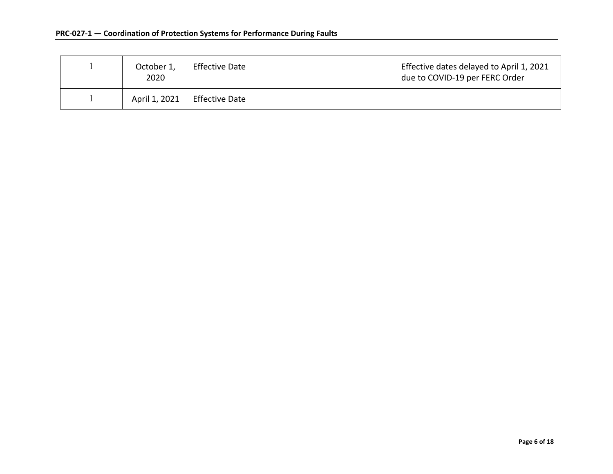| October 1,<br>2020 | <b>Effective Date</b> | Effective dates delayed to April 1, 2021<br>due to COVID-19 per FERC Order |
|--------------------|-----------------------|----------------------------------------------------------------------------|
| April 1, 2021      | <b>Effective Date</b> |                                                                            |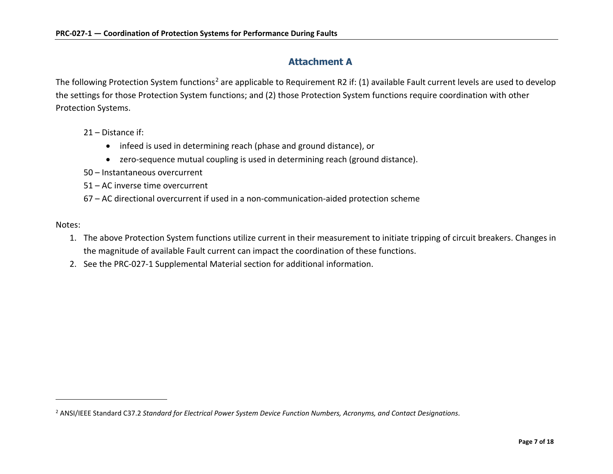## <span id="page-6-0"></span>**Attachment A**

The following Protection System functions<sup>[2](#page-6-0)</sup> are applicable to Requirement R2 if: (1) available Fault current levels are used to develop the settings for those Protection System functions; and (2) those Protection System functions require coordination with other Protection Systems.

21 – Distance if:

- infeed is used in determining reach (phase and ground distance), or
- zero-sequence mutual coupling is used in determining reach (ground distance).
- 50 Instantaneous overcurrent
- 51 AC inverse time overcurrent
- 67 AC directional overcurrent if used in a non-communication-aided protection scheme

Notes:

 $\overline{a}$ 

- 1. The above Protection System functions utilize current in their measurement to initiate tripping of circuit breakers. Changes in the magnitude of available Fault current can impact the coordination of these functions.
- 2. See the PRC-027-1 Supplemental Material section for additional information.

<sup>2</sup> ANSI/IEEE Standard C37.2 *Standard for Electrical Power System Device Function Numbers, Acronyms, and Contact Designations*.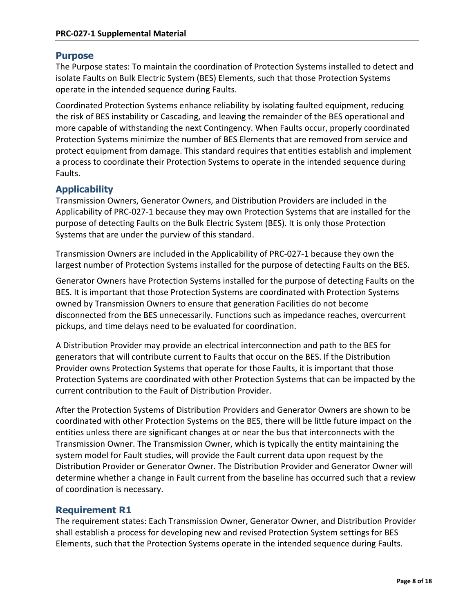## **Purpose**

The Purpose states: To maintain the coordination of Protection Systems installed to detect and isolate Faults on Bulk Electric System (BES) Elements, such that those Protection Systems operate in the intended sequence during Faults.

Coordinated Protection Systems enhance reliability by isolating faulted equipment, reducing the risk of BES instability or Cascading, and leaving the remainder of the BES operational and more capable of withstanding the next Contingency. When Faults occur, properly coordinated Protection Systems minimize the number of BES Elements that are removed from service and protect equipment from damage. This standard requires that entities establish and implement a process to coordinate their Protection Systems to operate in the intended sequence during Faults.

# **Applicability**

Transmission Owners, Generator Owners, and Distribution Providers are included in the Applicability of PRC-027-1 because they may own Protection Systems that are installed for the purpose of detecting Faults on the Bulk Electric System (BES). It is only those Protection Systems that are under the purview of this standard.

Transmission Owners are included in the Applicability of PRC-027-1 because they own the largest number of Protection Systems installed for the purpose of detecting Faults on the BES.

Generator Owners have Protection Systems installed for the purpose of detecting Faults on the BES. It is important that those Protection Systems are coordinated with Protection Systems owned by Transmission Owners to ensure that generation Facilities do not become disconnected from the BES unnecessarily. Functions such as impedance reaches, overcurrent pickups, and time delays need to be evaluated for coordination.

A Distribution Provider may provide an electrical interconnection and path to the BES for generators that will contribute current to Faults that occur on the BES. If the Distribution Provider owns Protection Systems that operate for those Faults, it is important that those Protection Systems are coordinated with other Protection Systems that can be impacted by the current contribution to the Fault of Distribution Provider.

After the Protection Systems of Distribution Providers and Generator Owners are shown to be coordinated with other Protection Systems on the BES, there will be little future impact on the entities unless there are significant changes at or near the bus that interconnects with the Transmission Owner. The Transmission Owner, which is typically the entity maintaining the system model for Fault studies, will provide the Fault current data upon request by the Distribution Provider or Generator Owner. The Distribution Provider and Generator Owner will determine whether a change in Fault current from the baseline has occurred such that a review of coordination is necessary.

## **Requirement R1**

The requirement states: Each Transmission Owner, Generator Owner, and Distribution Provider shall establish a process for developing new and revised Protection System settings for BES Elements, such that the Protection Systems operate in the intended sequence during Faults.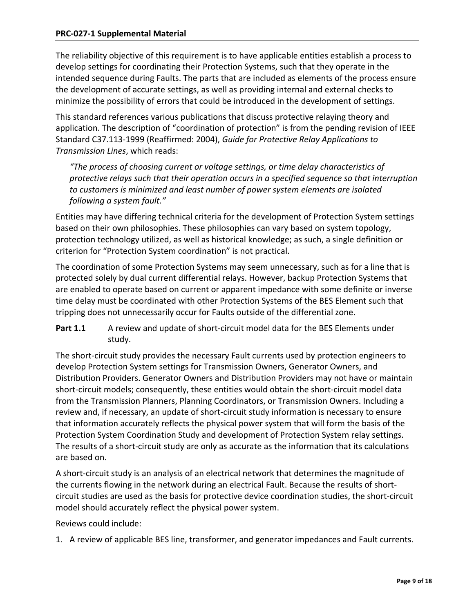The reliability objective of this requirement is to have applicable entities establish a process to develop settings for coordinating their Protection Systems, such that they operate in the intended sequence during Faults. The parts that are included as elements of the process ensure the development of accurate settings, as well as providing internal and external checks to minimize the possibility of errors that could be introduced in the development of settings.

This standard references various publications that discuss protective relaying theory and application. The description of "coordination of protection" is from the pending revision of IEEE Standard C37.113-1999 (Reaffirmed: 2004), *Guide for Protective Relay Applications to Transmission Lines*, which reads:

*"The process of choosing current or voltage settings, or time delay characteristics of protective relays such that their operation occurs in a specified sequence so that interruption to customers is minimized and least number of power system elements are isolated following a system fault."*

Entities may have differing technical criteria for the development of Protection System settings based on their own philosophies. These philosophies can vary based on system topology, protection technology utilized, as well as historical knowledge; as such, a single definition or criterion for "Protection System coordination" is not practical.

The coordination of some Protection Systems may seem unnecessary, such as for a line that is protected solely by dual current differential relays. However, backup Protection Systems that are enabled to operate based on current or apparent impedance with some definite or inverse time delay must be coordinated with other Protection Systems of the BES Element such that tripping does not unnecessarily occur for Faults outside of the differential zone.

Part 1.1 A review and update of short-circuit model data for the BES Elements under study.

The short-circuit study provides the necessary Fault currents used by protection engineers to develop Protection System settings for Transmission Owners, Generator Owners, and Distribution Providers. Generator Owners and Distribution Providers may not have or maintain short-circuit models; consequently, these entities would obtain the short-circuit model data from the Transmission Planners, Planning Coordinators, or Transmission Owners. Including a review and, if necessary, an update of short-circuit study information is necessary to ensure that information accurately reflects the physical power system that will form the basis of the Protection System Coordination Study and development of Protection System relay settings. The results of a short-circuit study are only as accurate as the information that its calculations are based on.

A short-circuit study is an analysis of an electrical network that determines the magnitude of the currents flowing in the network during an electrical Fault. Because the results of shortcircuit studies are used as the basis for protective device coordination studies, the short-circuit model should accurately reflect the physical power system.

Reviews could include:

1. A review of applicable BES line, transformer, and generator impedances and Fault currents.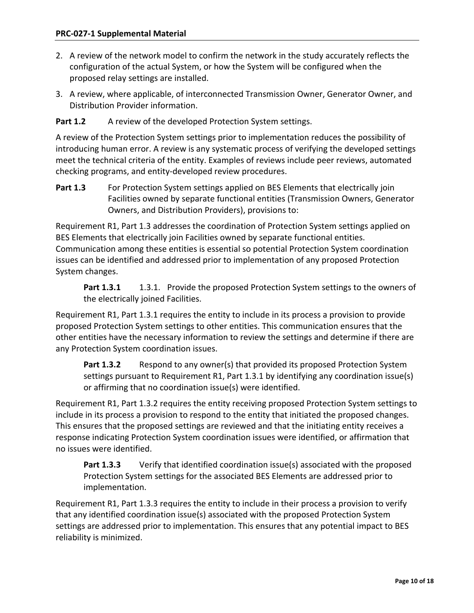- 2. A review of the network model to confirm the network in the study accurately reflects the configuration of the actual System, or how the System will be configured when the proposed relay settings are installed.
- 3. A review, where applicable, of interconnected Transmission Owner, Generator Owner, and Distribution Provider information.

Part 1.2 A review of the developed Protection System settings.

A review of the Protection System settings prior to implementation reduces the possibility of introducing human error. A review is any systematic process of verifying the developed settings meet the technical criteria of the entity. Examples of reviews include peer reviews, automated checking programs, and entity-developed review procedures.

Part 1.3 For Protection System settings applied on BES Elements that electrically join Facilities owned by separate functional entities (Transmission Owners, Generator Owners, and Distribution Providers), provisions to:

Requirement R1, Part 1.3 addresses the coordination of Protection System settings applied on BES Elements that electrically join Facilities owned by separate functional entities. Communication among these entities is essential so potential Protection System coordination issues can be identified and addressed prior to implementation of any proposed Protection System changes.

Part 1.3.1 1.3.1. Provide the proposed Protection System settings to the owners of the electrically joined Facilities.

Requirement R1, Part 1.3.1 requires the entity to include in its process a provision to provide proposed Protection System settings to other entities. This communication ensures that the other entities have the necessary information to review the settings and determine if there are any Protection System coordination issues.

Part 1.3.2 Respond to any owner(s) that provided its proposed Protection System settings pursuant to Requirement R1, Part 1.3.1 by identifying any coordination issue(s) or affirming that no coordination issue(s) were identified.

Requirement R1, Part 1.3.2 requires the entity receiving proposed Protection System settings to include in its process a provision to respond to the entity that initiated the proposed changes. This ensures that the proposed settings are reviewed and that the initiating entity receives a response indicating Protection System coordination issues were identified, or affirmation that no issues were identified.

**Part 1.3.3** Verify that identified coordination issue(s) associated with the proposed Protection System settings for the associated BES Elements are addressed prior to implementation.

Requirement R1, Part 1.3.3 requires the entity to include in their process a provision to verify that any identified coordination issue(s) associated with the proposed Protection System settings are addressed prior to implementation. This ensures that any potential impact to BES reliability is minimized.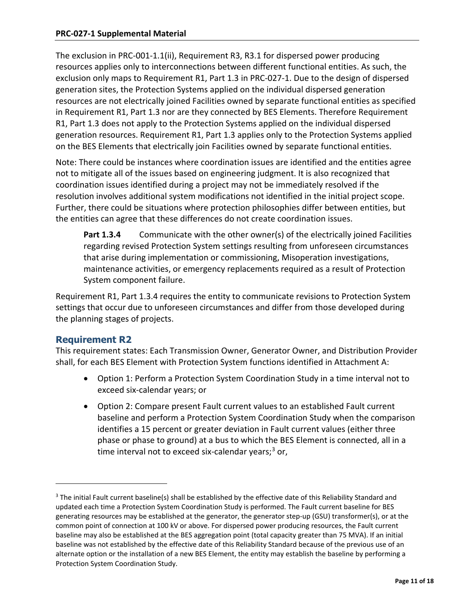The exclusion in PRC-001-1.1(ii), Requirement R3, R3.1 for dispersed power producing resources applies only to interconnections between different functional entities. As such, the exclusion only maps to Requirement R1, Part 1.3 in PRC-027-1. Due to the design of dispersed generation sites, the Protection Systems applied on the individual dispersed generation resources are not electrically joined Facilities owned by separate functional entities as specified in Requirement R1, Part 1.3 nor are they connected by BES Elements. Therefore Requirement R1, Part 1.3 does not apply to the Protection Systems applied on the individual dispersed generation resources. Requirement R1, Part 1.3 applies only to the Protection Systems applied on the BES Elements that electrically join Facilities owned by separate functional entities.

Note: There could be instances where coordination issues are identified and the entities agree not to mitigate all of the issues based on engineering judgment. It is also recognized that coordination issues identified during a project may not be immediately resolved if the resolution involves additional system modifications not identified in the initial project scope. Further, there could be situations where protection philosophies differ between entities, but the entities can agree that these differences do not create coordination issues.

**Part 1.3.4** Communicate with the other owner(s) of the electrically joined Facilities regarding revised Protection System settings resulting from unforeseen circumstances that arise during implementation or commissioning, Misoperation investigations, maintenance activities, or emergency replacements required as a result of Protection System component failure.

Requirement R1, Part 1.3.4 requires the entity to communicate revisions to Protection System settings that occur due to unforeseen circumstances and differ from those developed during the planning stages of projects.

# **Requirement R2**

 $\overline{a}$ 

This requirement states: Each Transmission Owner, Generator Owner, and Distribution Provider shall, for each BES Element with Protection System functions identified in Attachment A:

- Option 1: Perform a Protection System Coordination Study in a time interval not to exceed six-calendar years; or
- Option 2: Compare present Fault current values to an established Fault current baseline and perform a Protection System Coordination Study when the comparison identifies a 15 percent or greater deviation in Fault current values (either three phase or phase to ground) at a bus to which the BES Element is connected, all in a time interval not to exceed six-calendar years; [3](#page-10-0) or,

<span id="page-10-0"></span> $3$  The initial Fault current baseline(s) shall be established by the effective date of this Reliability Standard and updated each time a Protection System Coordination Study is performed. The Fault current baseline for BES generating resources may be established at the generator, the generator step-up (GSU) transformer(s), or at the common point of connection at 100 kV or above. For dispersed power producing resources, the Fault current baseline may also be established at the BES aggregation point (total capacity greater than 75 MVA). If an initial baseline was not established by the effective date of this Reliability Standard because of the previous use of an alternate option or the installation of a new BES Element, the entity may establish the baseline by performing a Protection System Coordination Study.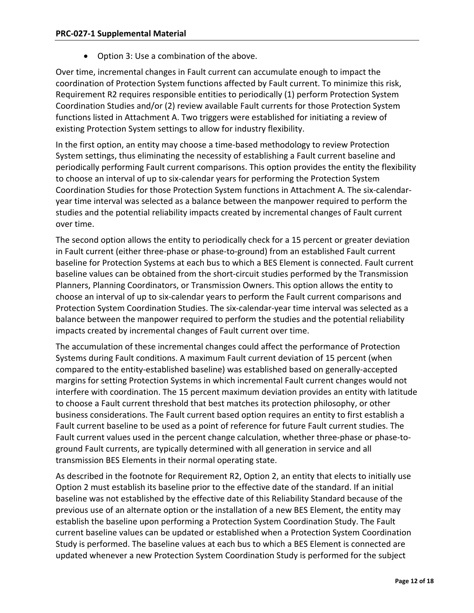• Option 3: Use a combination of the above.

Over time, incremental changes in Fault current can accumulate enough to impact the coordination of Protection System functions affected by Fault current. To minimize this risk, Requirement R2 requires responsible entities to periodically (1) perform Protection System Coordination Studies and/or (2) review available Fault currents for those Protection System functions listed in Attachment A. Two triggers were established for initiating a review of existing Protection System settings to allow for industry flexibility.

In the first option, an entity may choose a time-based methodology to review Protection System settings, thus eliminating the necessity of establishing a Fault current baseline and periodically performing Fault current comparisons. This option provides the entity the flexibility to choose an interval of up to six-calendar years for performing the Protection System Coordination Studies for those Protection System functions in Attachment A. The six-calendaryear time interval was selected as a balance between the manpower required to perform the studies and the potential reliability impacts created by incremental changes of Fault current over time.

The second option allows the entity to periodically check for a 15 percent or greater deviation in Fault current (either three-phase or phase-to-ground) from an established Fault current baseline for Protection Systems at each bus to which a BES Element is connected. Fault current baseline values can be obtained from the short-circuit studies performed by the Transmission Planners, Planning Coordinators, or Transmission Owners. This option allows the entity to choose an interval of up to six-calendar years to perform the Fault current comparisons and Protection System Coordination Studies. The six-calendar-year time interval was selected as a balance between the manpower required to perform the studies and the potential reliability impacts created by incremental changes of Fault current over time.

The accumulation of these incremental changes could affect the performance of Protection Systems during Fault conditions. A maximum Fault current deviation of 15 percent (when compared to the entity-established baseline) was established based on generally-accepted margins for setting Protection Systems in which incremental Fault current changes would not interfere with coordination. The 15 percent maximum deviation provides an entity with latitude to choose a Fault current threshold that best matches its protection philosophy, or other business considerations. The Fault current based option requires an entity to first establish a Fault current baseline to be used as a point of reference for future Fault current studies. The Fault current values used in the percent change calculation, whether three-phase or phase-toground Fault currents, are typically determined with all generation in service and all transmission BES Elements in their normal operating state.

As described in the footnote for Requirement R2, Option 2, an entity that elects to initially use Option 2 must establish its baseline prior to the effective date of the standard. If an initial baseline was not established by the effective date of this Reliability Standard because of the previous use of an alternate option or the installation of a new BES Element, the entity may establish the baseline upon performing a Protection System Coordination Study. The Fault current baseline values can be updated or established when a Protection System Coordination Study is performed. The baseline values at each bus to which a BES Element is connected are updated whenever a new Protection System Coordination Study is performed for the subject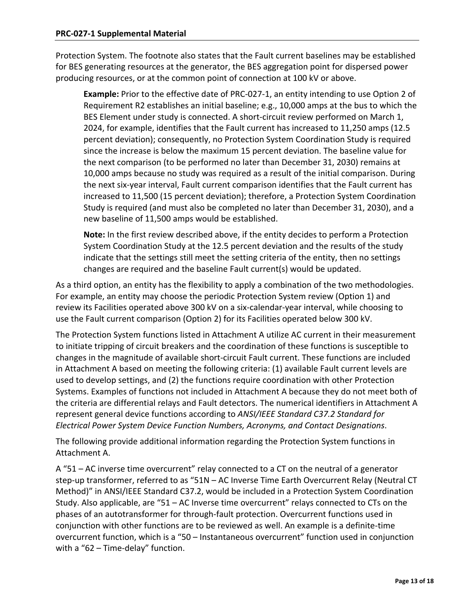Protection System. The footnote also states that the Fault current baselines may be established for BES generating resources at the generator, the BES aggregation point for dispersed power producing resources, or at the common point of connection at 100 kV or above.

**Example:** Prior to the effective date of PRC-027-1, an entity intending to use Option 2 of Requirement R2 establishes an initial baseline; e.g., 10,000 amps at the bus to which the BES Element under study is connected. A short-circuit review performed on March 1, 2024, for example, identifies that the Fault current has increased to 11,250 amps (12.5 percent deviation); consequently, no Protection System Coordination Study is required since the increase is below the maximum 15 percent deviation. The baseline value for the next comparison (to be performed no later than December 31, 2030) remains at 10,000 amps because no study was required as a result of the initial comparison. During the next six-year interval, Fault current comparison identifies that the Fault current has increased to 11,500 (15 percent deviation); therefore, a Protection System Coordination Study is required (and must also be completed no later than December 31, 2030), and a new baseline of 11,500 amps would be established.

**Note:** In the first review described above, if the entity decides to perform a Protection System Coordination Study at the 12.5 percent deviation and the results of the study indicate that the settings still meet the setting criteria of the entity, then no settings changes are required and the baseline Fault current(s) would be updated.

As a third option, an entity has the flexibility to apply a combination of the two methodologies. For example, an entity may choose the periodic Protection System review (Option 1) and review its Facilities operated above 300 kV on a six-calendar-year interval, while choosing to use the Fault current comparison (Option 2) for its Facilities operated below 300 kV.

The Protection System functions listed in Attachment A utilize AC current in their measurement to initiate tripping of circuit breakers and the coordination of these functions is susceptible to changes in the magnitude of available short-circuit Fault current. These functions are included in Attachment A based on meeting the following criteria: (1) available Fault current levels are used to develop settings, and (2) the functions require coordination with other Protection Systems. Examples of functions not included in Attachment A because they do not meet both of the criteria are differential relays and Fault detectors. The numerical identifiers in Attachment A represent general device functions according to *ANSI[/IEEE](http://en.wikipedia.org/wiki/IEEE) Standard C37.2 Standard for Electrical Power System Device Function Numbers, Acronyms, and Contact Designations*.

The following provide additional information regarding the Protection System functions in Attachment A.

A "51 – AC inverse time overcurrent" relay connected to a CT on the neutral of a generator step-up transformer, referred to as "51N – AC Inverse Time Earth Overcurrent Relay (Neutral CT Method)" in ANSI/IEEE Standard C37.2, would be included in a Protection System Coordination Study. Also applicable, are "51 – AC Inverse time overcurrent" relays connected to CTs on the phases of an autotransformer for through-fault protection. Overcurrent functions used in conjunction with other functions are to be reviewed as well. An example is a definite-time overcurrent function, which is a "50 – Instantaneous overcurrent" function used in conjunction with a "62 – Time-delay" function.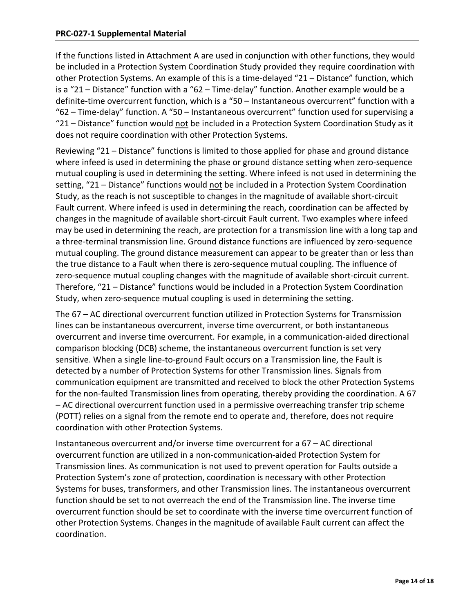If the functions listed in Attachment A are used in conjunction with other functions, they would be included in a Protection System Coordination Study provided they require coordination with other Protection Systems. An example of this is a time-delayed "21 – Distance" function, which is a "21 – Distance" function with a "62 – Time-delay" function. Another example would be a definite-time overcurrent function, which is a "50 – Instantaneous overcurrent" function with a "62 – Time-delay" function. A "50 – Instantaneous overcurrent" function used for supervising a "21 – Distance" function would not be included in a Protection System Coordination Study as it does not require coordination with other Protection Systems.

Reviewing "21 – Distance" functions is limited to those applied for phase and ground distance where infeed is used in determining the phase or ground distance setting when zero-sequence mutual coupling is used in determining the setting. Where infeed is not used in determining the setting, "21 – Distance" functions would not be included in a Protection System Coordination Study, as the reach is not susceptible to changes in the magnitude of available short-circuit Fault current. Where infeed is used in determining the reach, coordination can be affected by changes in the magnitude of available short-circuit Fault current. Two examples where infeed may be used in determining the reach, are protection for a transmission line with a long tap and a three-terminal transmission line. Ground distance functions are influenced by zero-sequence mutual coupling. The ground distance measurement can appear to be greater than or less than the true distance to a Fault when there is zero-sequence mutual coupling. The influence of zero-sequence mutual coupling changes with the magnitude of available short-circuit current. Therefore, "21 – Distance" functions would be included in a Protection System Coordination Study, when zero-sequence mutual coupling is used in determining the setting.

The 67 – AC directional overcurrent function utilized in Protection Systems for Transmission lines can be instantaneous overcurrent, inverse time overcurrent, or both instantaneous overcurrent and inverse time overcurrent. For example, in a communication-aided directional comparison blocking (DCB) scheme, the instantaneous overcurrent function is set very sensitive. When a single line-to-ground Fault occurs on a Transmission line, the Fault is detected by a number of Protection Systems for other Transmission lines. Signals from communication equipment are transmitted and received to block the other Protection Systems for the non-faulted Transmission lines from operating, thereby providing the coordination. A 67 – AC directional overcurrent function used in a permissive overreaching transfer trip scheme (POTT) relies on a signal from the remote end to operate and, therefore, does not require coordination with other Protection Systems.

Instantaneous overcurrent and/or inverse time overcurrent for a 67 – AC directional overcurrent function are utilized in a non-communication-aided Protection System for Transmission lines. As communication is not used to prevent operation for Faults outside a Protection System's zone of protection, coordination is necessary with other Protection Systems for buses, transformers, and other Transmission lines. The instantaneous overcurrent function should be set to not overreach the end of the Transmission line. The inverse time overcurrent function should be set to coordinate with the inverse time overcurrent function of other Protection Systems. Changes in the magnitude of available Fault current can affect the coordination.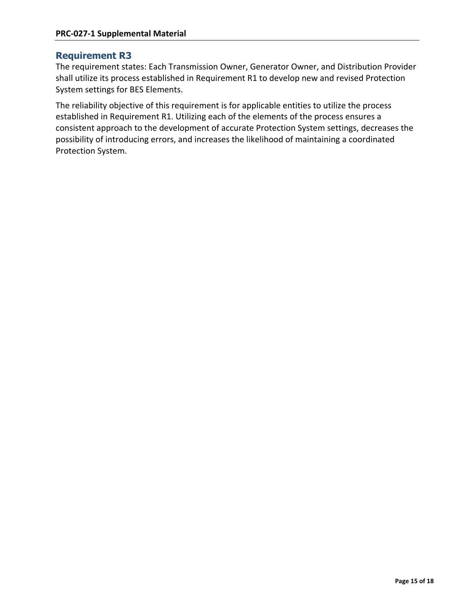## **Requirement R3**

The requirement states: Each Transmission Owner, Generator Owner, and Distribution Provider shall utilize its process established in Requirement R1 to develop new and revised Protection System settings for BES Elements.

The reliability objective of this requirement is for applicable entities to utilize the process established in Requirement R1. Utilizing each of the elements of the process ensures a consistent approach to the development of accurate Protection System settings, decreases the possibility of introducing errors, and increases the likelihood of maintaining a coordinated Protection System.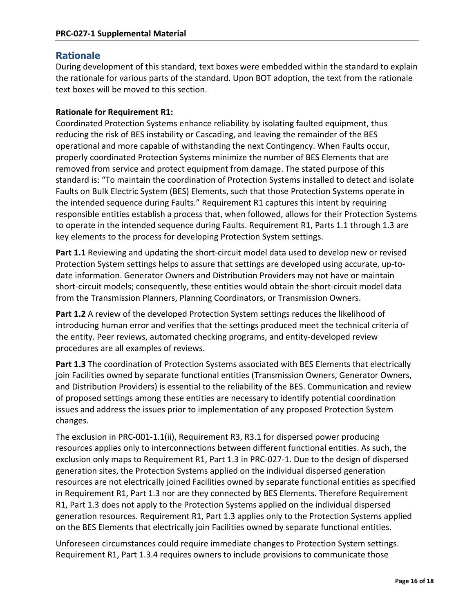# **Rationale**

During development of this standard, text boxes were embedded within the standard to explain the rationale for various parts of the standard. Upon BOT adoption, the text from the rationale text boxes will be moved to this section.

## **Rationale for Requirement R1:**

Coordinated Protection Systems enhance reliability by isolating faulted equipment, thus reducing the risk of BES instability or Cascading, and leaving the remainder of the BES operational and more capable of withstanding the next Contingency. When Faults occur, properly coordinated Protection Systems minimize the number of BES Elements that are removed from service and protect equipment from damage. The stated purpose of this standard is: "To maintain the coordination of Protection Systems installed to detect and isolate Faults on Bulk Electric System (BES) Elements, such that those Protection Systems operate in the intended sequence during Faults." Requirement R1 captures this intent by requiring responsible entities establish a process that, when followed, allows for their Protection Systems to operate in the intended sequence during Faults. Requirement R1, Parts 1.1 through 1.3 are key elements to the process for developing Protection System settings.

**Part 1.1** Reviewing and updating the short-circuit model data used to develop new or revised Protection System settings helps to assure that settings are developed using accurate, up-todate information. Generator Owners and Distribution Providers may not have or maintain short-circuit models; consequently, these entities would obtain the short-circuit model data from the Transmission Planners, Planning Coordinators, or Transmission Owners.

**Part 1.2** A review of the developed Protection System settings reduces the likelihood of introducing human error and verifies that the settings produced meet the technical criteria of the entity. Peer reviews, automated checking programs, and entity-developed review procedures are all examples of reviews.

**Part 1.3** The coordination of Protection Systems associated with BES Elements that electrically join Facilities owned by separate functional entities (Transmission Owners, Generator Owners, and Distribution Providers) is essential to the reliability of the BES. Communication and review of proposed settings among these entities are necessary to identify potential coordination issues and address the issues prior to implementation of any proposed Protection System changes.

The exclusion in PRC-001-1.1(ii), Requirement R3, R3.1 for dispersed power producing resources applies only to interconnections between different functional entities. As such, the exclusion only maps to Requirement R1, Part 1.3 in PRC-027-1. Due to the design of dispersed generation sites, the Protection Systems applied on the individual dispersed generation resources are not electrically joined Facilities owned by separate functional entities as specified in Requirement R1, Part 1.3 nor are they connected by BES Elements. Therefore Requirement R1, Part 1.3 does not apply to the Protection Systems applied on the individual dispersed generation resources. Requirement R1, Part 1.3 applies only to the Protection Systems applied on the BES Elements that electrically join Facilities owned by separate functional entities.

Unforeseen circumstances could require immediate changes to Protection System settings. Requirement R1, Part 1.3.4 requires owners to include provisions to communicate those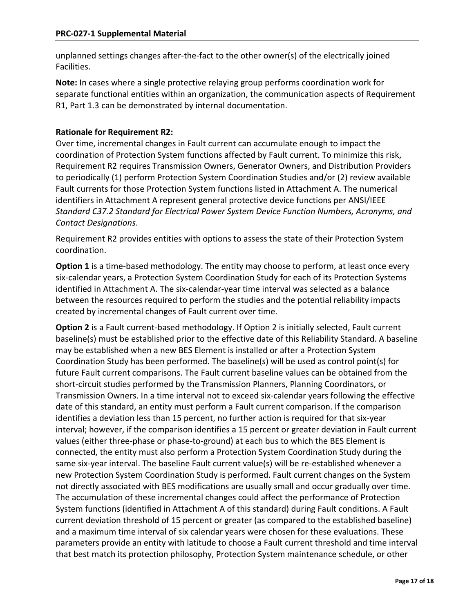unplanned settings changes after-the-fact to the other owner(s) of the electrically joined Facilities.

**Note:** In cases where a single protective relaying group performs coordination work for separate functional entities within an organization, the communication aspects of Requirement R1, Part 1.3 can be demonstrated by internal documentation.

## **Rationale for Requirement R2:**

Over time, incremental changes in Fault current can accumulate enough to impact the coordination of Protection System functions affected by Fault current. To minimize this risk, Requirement R2 requires Transmission Owners, Generator Owners, and Distribution Providers to periodically (1) perform Protection System Coordination Studies and/or (2) review available Fault currents for those Protection System functions listed in Attachment A. The numerical identifiers in Attachment A represent general protective device functions per ANSI[/IEEE](http://en.wikipedia.org/wiki/IEEE) *Standard C37.2 Standard for Electrical Power System Device Function Numbers, Acronyms, and Contact Designations*.

Requirement R2 provides entities with options to assess the state of their Protection System coordination.

**Option 1** is a time-based methodology. The entity may choose to perform, at least once every six-calendar years, a Protection System Coordination Study for each of its Protection Systems identified in Attachment A. The six-calendar-year time interval was selected as a balance between the resources required to perform the studies and the potential reliability impacts created by incremental changes of Fault current over time.

**Option 2** is a Fault current-based methodology. If Option 2 is initially selected, Fault current baseline(s) must be established prior to the effective date of this Reliability Standard. A baseline may be established when a new BES Element is installed or after a Protection System Coordination Study has been performed. The baseline(s) will be used as control point(s) for future Fault current comparisons. The Fault current baseline values can be obtained from the short-circuit studies performed by the Transmission Planners, Planning Coordinators, or Transmission Owners. In a time interval not to exceed six-calendar years following the effective date of this standard, an entity must perform a Fault current comparison. If the comparison identifies a deviation less than 15 percent, no further action is required for that six-year interval; however, if the comparison identifies a 15 percent or greater deviation in Fault current values (either three-phase or phase-to-ground) at each bus to which the BES Element is connected, the entity must also perform a Protection System Coordination Study during the same six-year interval. The baseline Fault current value(s) will be re-established whenever a new Protection System Coordination Study is performed. Fault current changes on the System not directly associated with BES modifications are usually small and occur gradually over time. The accumulation of these incremental changes could affect the performance of Protection System functions (identified in Attachment A of this standard) during Fault conditions. A Fault current deviation threshold of 15 percent or greater (as compared to the established baseline) and a maximum time interval of six calendar years were chosen for these evaluations. These parameters provide an entity with latitude to choose a Fault current threshold and time interval that best match its protection philosophy, Protection System maintenance schedule, or other